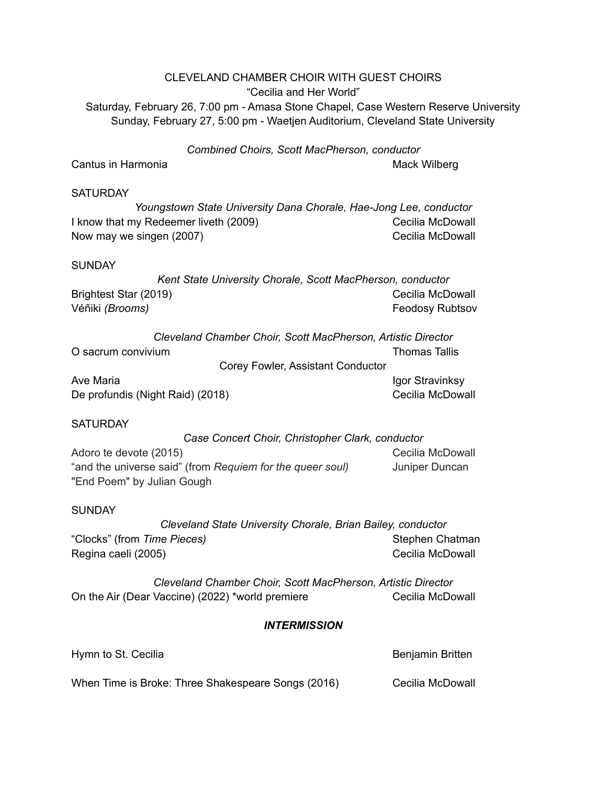## CLEVELAND CHAMBER CHOIR WITH GUEST CHOIRS "Cecilia and Her World" Saturday, February 26, 7:00 pm - Amasa Stone Chapel, Case Western Reserve University Sunday, February 27, 5:00 pm - Waetjen Auditorium, Cleveland State University *Combined Choirs, Scott MacPherson, conductor* Cantus in Harmonia **Mack Wilberg** Cantus in Harmonia **SATURDAY** *Youngstown State University Dana Chorale, Hae-Jong Lee, conductor* I know that my Redeemer liveth (2009) Cecilia McDowall Now may we singen (2007) Now may Cecilia McDowall **SUNDAY** *Kent State University Chorale, Scott MacPherson, conductor* Brightest Star (2019) **Cecilia McDowall** Véñiki *(Brooms)* Feodosy Rubtsov *Cleveland Chamber Choir, Scott MacPherson, Artistic Director* O sacrum convivium Thomas Tallis Corey Fowler, Assistant Conductor Ave Maria **Igor Stravinksy** and the *Igor Stravinksy* and *Igor Stravinksy* De profundis (Night Raid) (2018) Cecilia McDowall **SATURDAY** *Case Concert Choir, Christopher Clark, conductor* Adoro te devote (2015) New York Cecilia McDowall "and the universe said" (from *Requiem for the queer soul)* Juniper Duncan "End Poem" by Julian Gough **SUNDAY**

*Cleveland State University Chorale, Brian Bailey, conductor* "Clocks" (from *Time Pieces*) Stephen Chatman Stephen Chatman Regina caeli (2005) Cecilia McDowall and Cecilia McDowall

*Cleveland Chamber Choir, Scott MacPherson, Artistic Director* On the Air (Dear Vaccine) (2022) \*world premiere Cecilia McDowall

## *INTERMISSION*

| Hymn to St. Cecilia                                | Benjamin Britten |
|----------------------------------------------------|------------------|
| When Time is Broke: Three Shakespeare Songs (2016) | Cecilia McDowall |